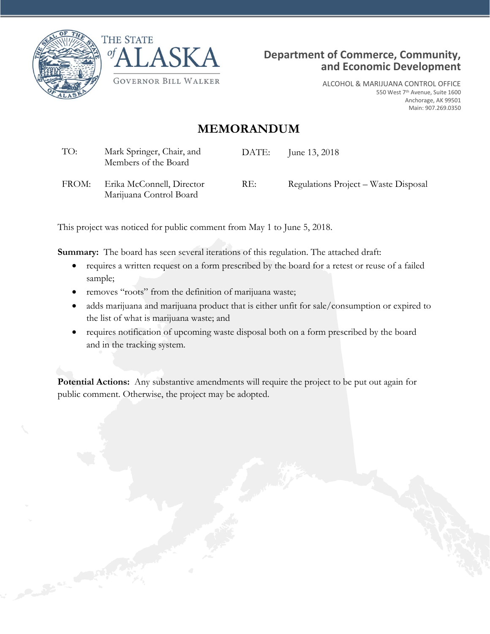





ALCOHOL & MARIJUANA CONTROL OFFICE 550 West 7th Avenue, Suite 1600 Anchorage, AK 99501 Main: 907.269.0350

# **MEMORANDUM**

| TO: | Mark Springer, Chair, and | DATE: | June 13, 2018 |
|-----|---------------------------|-------|---------------|
|     | Members of the Board      |       |               |
|     |                           |       |               |

FROM: Erika McConnell, Director Marijuana Control Board RE: Regulations Project – Waste Disposal

This project was noticed for public comment from May 1 to June 5, 2018.

**Summary:** The board has seen several iterations of this regulation. The attached draft:

- requires a written request on a form prescribed by the board for a retest or reuse of a failed sample;
- removes "roots" from the definition of marijuana waste;
- adds marijuana and marijuana product that is either unfit for sale/consumption or expired to the list of what is marijuana waste; and
- requires notification of upcoming waste disposal both on a form prescribed by the board and in the tracking system.

**Potential Actions:** Any substantive amendments will require the project to be put out again for public comment. Otherwise, the project may be adopted.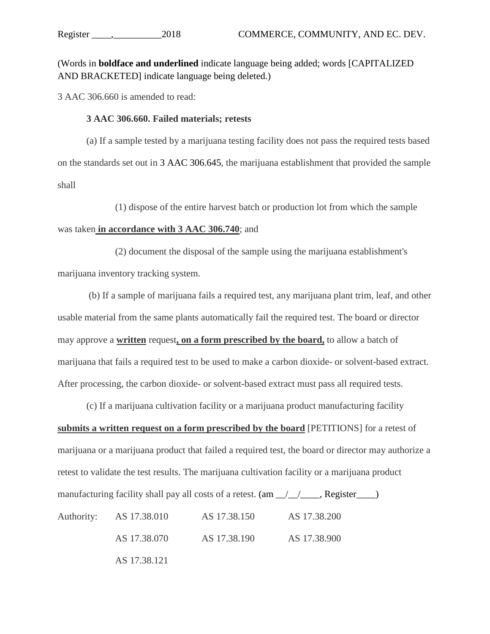(Words in **boldface and underlined** indicate language being added; words [CAPITALIZED AND BRACKETED] indicate language being deleted.)

3 AAC 306.660 is amended to read:

#### **3 AAC 306.660. Failed materials; retests**

(a) If a sample tested by a marijuana testing facility does not pass the required tests based on the standards set out in 3 AAC 306.645, the marijuana establishment that provided the sample shall

(1) dispose of the entire harvest batch or production lot from which the sample

#### was taken **in accordance with 3 AAC 306.740**; and

(2) document the disposal of the sample using the marijuana establishment's marijuana inventory tracking system.

(b) If a sample of marijuana fails a required test, any marijuana plant trim, leaf, and other usable material from the same plants automatically fail the required test. The board or director may approve a **written** request**, on a form prescribed by the board,** to allow a batch of marijuana that fails a required test to be used to make a carbon dioxide- or solvent-based extract. After processing, the carbon dioxide- or solvent-based extract must pass all required tests.

(c) If a marijuana cultivation facility or a marijuana product manufacturing facility **submits a written request on a form prescribed by the board** [PETITIONS] for a retest of marijuana or a marijuana product that failed a required test, the board or director may authorize a retest to validate the test results. The marijuana cultivation facility or a marijuana product manufacturing facility shall pay all costs of a retest.  $(am_{\perp}/\perp_{\perp}$ , Register Authority: AS 17.38.010 AS 17.38.150 AS 17.38.200

AS 17.38.070 AS 17.38.190 AS 17.38.900

AS 17.38.121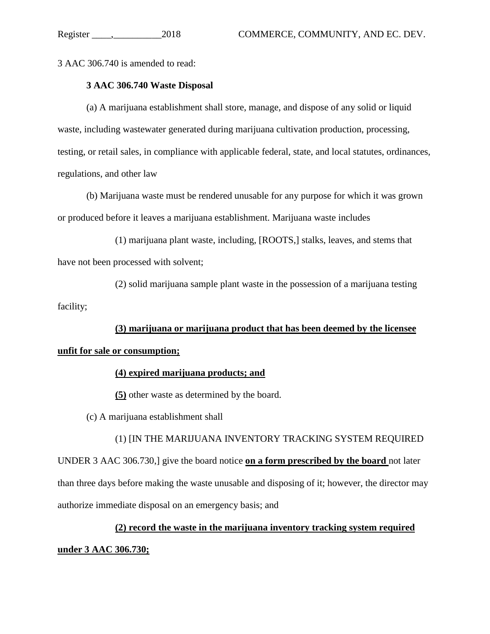3 AAC 306.740 is amended to read:

# **3 AAC 306.740 Waste Disposal**

(a) A marijuana establishment shall store, manage, and dispose of any solid or liquid waste, including wastewater generated during marijuana cultivation production, processing, testing, or retail sales, in compliance with applicable federal, state, and local statutes, ordinances, regulations, and other law

(b) Marijuana waste must be rendered unusable for any purpose for which it was grown or produced before it leaves a marijuana establishment. Marijuana waste includes

(1) marijuana plant waste, including, [ROOTS,] stalks, leaves, and stems that have not been processed with solvent;

(2) solid marijuana sample plant waste in the possession of a marijuana testing facility;

**(3) marijuana or marijuana product that has been deemed by the licensee unfit for sale or consumption;**

## **(4) expired marijuana products; and**

**(5)** other waste as determined by the board.

(c) A marijuana establishment shall

(1) [IN THE MARIJUANA INVENTORY TRACKING SYSTEM REQUIRED UNDER 3 AAC 306.730,] give the board notice **on a form prescribed by the board** not later than three days before making the waste unusable and disposing of it; however, the director may authorize immediate disposal on an emergency basis; and

# **(2) record the waste in the marijuana inventory tracking system required**

## **under 3 AAC 306.730;**